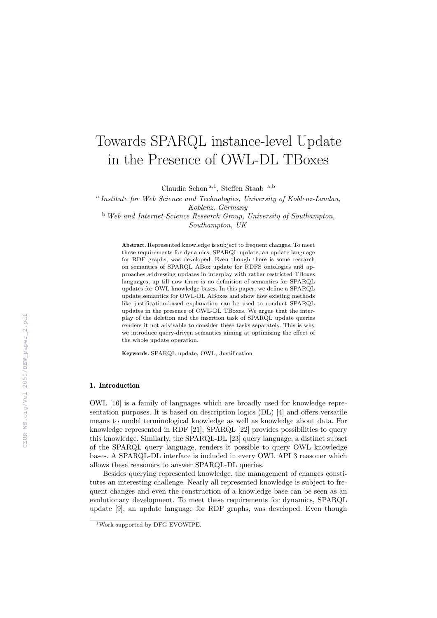# Towards SPARQL instance-level Update in the Presence of OWL-DL TBoxes

Claudia Schon<sup>a,1</sup>, Steffen Staab<sup>a,b</sup>

<sup>a</sup> Institute for Web Science and Technologies, University of Koblenz-Landau, Koblenz, Germany  $b$  Web and Internet Science Research Group, University of Southampton,

Southampton, UK

Abstract. Represented knowledge is subject to frequent changes. To meet these requirements for dynamics, SPARQL update, an update language for RDF graphs, was developed. Even though there is some research on semantics of SPARQL ABox update for RDFS ontologies and approaches addressing updates in interplay with rather restricted TBoxes languages, up till now there is no definition of semantics for SPARQL updates for OWL knowledge bases. In this paper, we define a SPARQL update semantics for OWL-DL ABoxes and show how existing methods like justification-based explanation can be used to conduct SPARQL updates in the presence of OWL-DL TBoxes. We argue that the interplay of the deletion and the insertion task of SPARQL update queries renders it not advisable to consider these tasks separately. This is why we introduce query-driven semantics aiming at optimizing the effect of the whole update operation.

Keywords. SPARQL update, OWL, Justification

#### 1. Introduction

OWL [16] is a family of languages which are broadly used for knowledge representation purposes. It is based on description logics (DL) [4] and offers versatile means to model terminological knowledge as well as knowledge about data. For knowledge represented in RDF [21], SPARQL [22] provides possibilities to query this knowledge. Similarly, the SPARQL-DL [23] query language, a distinct subset of the SPARQL query language, renders it possible to query OWL knowledge bases. A SPARQL-DL interface is included in every OWL API 3 reasoner which allows these reasoners to answer SPARQL-DL queries.

Besides querying represented knowledge, the management of changes constitutes an interesting challenge. Nearly all represented knowledge is subject to frequent changes and even the construction of a knowledge base can be seen as an evolutionary development. To meet these requirements for dynamics, SPARQL update [9], an update language for RDF graphs, was developed. Even though

<sup>1</sup>Work supported by DFG EVOWIPE.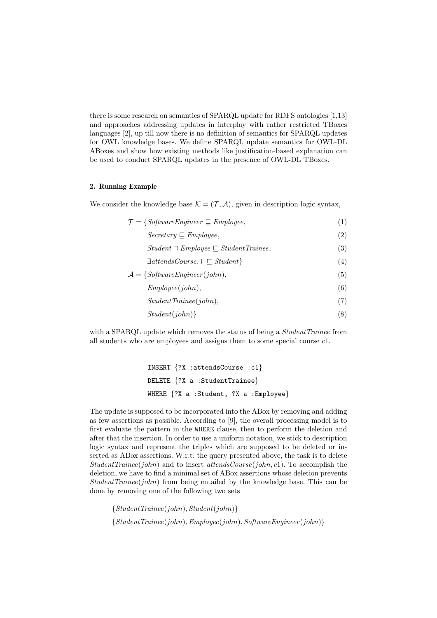there is some research on semantics of SPARQL update for RDFS ontologies [1,13] and approaches addressing updates in interplay with rather restricted TBoxes languages [2], up till now there is no definition of semantics for SPARQL updates for OWL knowledge bases. We define SPARQL update semantics for OWL-DL ABoxes and show how existing methods like justification-based explanation can be used to conduct SPARQL updates in the presence of OWL-DL TBoxes.

## 2. Running Example

We consider the knowledge base  $\mathcal{K} = (\mathcal{T}, \mathcal{A})$ , given in description logic syntax,

$$
\mathcal{T} = \{SoftwareEngineering \sqsubseteq Employee, \tag{1} \}
$$
\n
$$
Secretary \sqsubseteq Employee, \tag{2}
$$
\n
$$
Student \sqcap Employee \sqsubseteq StudentTriangle, \tag{3}
$$
\n
$$
\exists attendsCourse.\top \sqsubseteq Student \}
$$
\n
$$
\mathcal{A} = \{ SoftwareEngineering(John), \tag{5}
$$
\n
$$
Employee(John), \tag{6}
$$
\n
$$
StudentTriangle(John), \tag{7}
$$
\n
$$
Student(john) \}
$$
\n
$$
(8)
$$

with a SPARQL update which removes the status of being a *StudentTrainee* from all students who are employees and assigns them to some special course c1.

```
INSERT {?X :attendsCourse :c1}
DELETE {?X a : StudentTrainee}
WHERE {?}X a : Student, ?X a : Employee}
```
The update is supposed to be incorporated into the ABox by removing and adding as few assertions as possible. According to [9], the overall processing model is to first evaluate the pattern in the WHERE clause, then to perform the deletion and after that the insertion. In order to use a uniform notation, we stick to description logic syntax and represent the triples which are supposed to be deleted or inserted as ABox assertions. W.r.t. the query presented above, the task is to delete StudentTrainee(john) and to insert attends Course(john, c1). To accomplish the deletion, we have to find a minimal set of ABox assertions whose deletion prevents  $StudentTrainee(iohn)$  from being entailed by the knowledge base. This can be done by removing one of the following two sets

{StudentTrainee(john), Student(john)}  ${StudentTraine(john), Emplayer(john), SoftwareEngineering(john)}$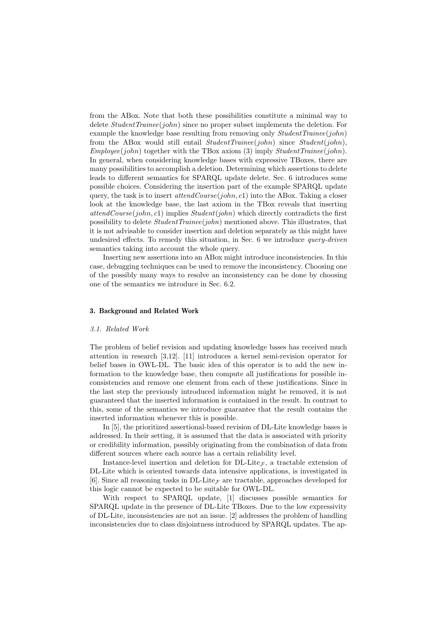from the ABox. Note that both these possibilities constitute a minimal way to delete  $StudentTriangle(john)$  since no proper subset implements the deletion. For example the knowledge base resulting from removing only  $StudentTriangle(john)$ from the ABox would still entail  $StudentTriangle(john)$  since  $Student(john)$ ,  $Employee(john)$  together with the TBox axiom (3) imply  $StudentTriangle(john)$ . In general, when considering knowledge bases with expressive TBoxes, there are many possibilities to accomplish a deletion. Determining which assertions to delete leads to different semantics for SPARQL update delete. Sec. 6 introduces some possible choices. Considering the insertion part of the example SPARQL update query, the task is to insert  $attendCourse(john, c1)$  into the ABox. Taking a closer look at the knowledge base, the last axiom in the TBox reveals that inserting  $attendCourse(john, c1)$  implies  $Student(john)$  which directly contradicts the first possibility to delete StudentTrainee(john) mentioned above. This illustrates, that it is not advisable to consider insertion and deletion separately as this might have undesired effects. To remedy this situation, in Sec. 6 we introduce query-driven semantics taking into account the whole query.

Inserting new assertions into an ABox might introduce inconsistencies. In this case, debugging techniques can be used to remove the inconsistency. Choosing one of the possibly many ways to resolve an inconsistency can be done by choosing one of the semantics we introduce in Sec. 6.2.

## 3. Background and Related Work

#### 3.1. Related Work

The problem of belief revision and updating knowledge bases has received much attention in research [3,12]. [11] introduces a kernel semi-revision operator for belief bases in OWL-DL. The basic idea of this operator is to add the new information to the knowledge base, then compute all justifications for possible inconsistencies and remove one element from each of these justifications. Since in the last step the previously introduced information might be removed, it is not guaranteed that the inserted information is contained in the result. In contrast to this, some of the semantics we introduce guarantee that the result contains the inserted information whenever this is possible.

In [5], the prioritized assertional-based revision of DL-Lite knowledge bases is addressed. In their setting, it is assumed that the data is associated with priority or credibility information, possibly originating from the combination of data from different sources where each source has a certain reliability level.

Instance-level insertion and deletion for  $DL$ -Lite<sub>F</sub>, a tractable extension of DL-Lite which is oriented towards data intensive applications, is investigated in [6]. Since all reasoning tasks in DL-Lite<sub>F</sub> are tractable, approaches developed for this logic cannot be expected to be suitable for OWL-DL.

With respect to SPARQL update, [1] discusses possible semantics for SPARQL update in the presence of DL-Lite TBoxes. Due to the low expressivity of DL-Lite, inconsistencies are not an issue. [2] addresses the problem of handling inconsistencies due to class disjointness introduced by SPARQL updates. The ap-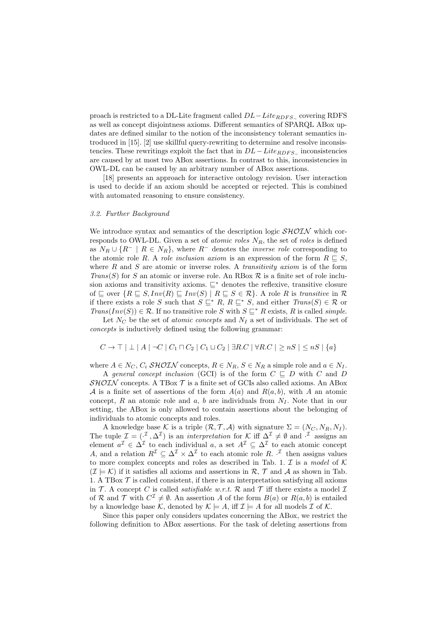proach is restricted to a DL-Lite fragment called  $DL-Lite_{RDFS}$  covering RDFS as well as concept disjointness axioms. Different semantics of SPARQL ABox updates are defined similar to the notion of the inconsistency tolerant semantics introduced in [15]. [2] use skillful query-rewriting to determine and resolve inconsistencies. These rewritings exploit the fact that in  $DL-Lite_{RDFS}$ , inconsistencies are caused by at most two ABox assertions. In contrast to this, inconsistencies in OWL-DL can be caused by an arbitrary number of ABox assertions.

[18] presents an approach for interactive ontology revision. User interaction is used to decide if an axiom should be accepted or rejected. This is combined with automated reasoning to ensure consistency.

## 3.2. Further Background

We introduce syntax and semantics of the description logic  $\mathcal{SHOLN}$  which corresponds to OWL-DL. Given a set of *atomic roles*  $N_R$ , the set of *roles* is defined as  $N_R \cup \{R^- \mid R \in N_R\}$ , where  $R^-$  denotes the *inverse role* corresponding to the atomic role R. A role inclusion axiom is an expression of the form  $R \subseteq S$ , where  $R$  and  $S$  are atomic or inverse roles. A *transitivity axiom* is of the form  $Trans(S)$  for S an atomic or inverse role. An RBox  $R$  is a finite set of role inclusion axioms and transitivity axioms.  $\sqsubseteq^*$  denotes the reflexive, transitive closure of  $\subseteq$  over  $\{R \subseteq S, Inv(R) \subseteq Inv(S) | R \subseteq S \in \mathcal{R}\}.$  A role R is transitive in R if there exists a role S such that  $S \subseteq^* R$ ,  $R \subseteq^* S$ , and either  $Trans(S) \in \mathcal{R}$  or  $Trans(Inv(S)) \in \mathcal{R}$ . If no transitive role S with  $S \subseteq^* R$  exists, R is called simple.

Let  $N_C$  be the set of *atomic concepts* and  $N_I$  a set of individuals. The set of concepts is inductively defined using the following grammar:

$$
C \rightarrow \top \mid \bot \mid A \mid \neg C \mid C_1 \sqcap C_2 \mid C_1 \sqcup C_2 \mid \exists R.C \mid \forall R.C \mid \geq nS \mid \leq nS \mid \{a\}
$$

where  $A \in N_C$ ,  $C_i$  SHOIN concepts,  $R \in N_R$ ,  $S \in N_R$  a simple role and  $a \in N_I$ .

A general concept inclusion (GCI) is of the form  $C \subseteq D$  with C and D  $\mathcal{SHOLN}$  concepts. A TBox  $\mathcal T$  is a finite set of GCIs also called axioms. An ABox A is a finite set of assertions of the form  $A(a)$  and  $R(a, b)$ , with A an atomic concept, R an atomic role and a, b are individuals from  $N_I$ . Note that in our setting, the ABox is only allowed to contain assertions about the belonging of individuals to atomic concepts and roles.

A knowledge base K is a triple  $(\mathcal{R}, \mathcal{T}, \mathcal{A})$  with signature  $\Sigma = (N_C, N_R, N_I)$ . The tuple  $\mathcal{I} = (1, 1, \Delta^{\mathcal{I}})$  is an *interpretation* for K iff  $\Delta^{\mathcal{I}} \neq \emptyset$  and  $\Delta^{\mathcal{I}}$  assigns an element  $a^{\mathcal{I}} \in \Delta^{\mathcal{I}}$  to each individual a, a set  $A^{\mathcal{I}} \subseteq \Delta^{\mathcal{I}}$  to each atomic concept A, and a relation  $R^{\mathcal{I}} \subseteq \Delta^{\mathcal{I}} \times \Delta^{\mathcal{I}}$  to each atomic role R.  $\cdot^{\mathcal{I}}$  then assigns values to more complex concepts and roles as described in Tab. 1.  $\mathcal I$  is a model of  $\mathcal K$  $(\mathcal{I} \models \mathcal{K})$  if it satisfies all axioms and assertions in R, T and A as shown in Tab. 1. A TBox  $\mathcal T$  is called consistent, if there is an interpretation satisfying all axioms in T. A concept C is called *satisfiable w.r.t.* R and T iff there exists a model I of R and T with  $C^{\mathcal{I}} \neq \emptyset$ . An assertion A of the form  $B(a)$  or  $R(a, b)$  is entailed by a knowledge base K, denoted by  $\mathcal{K} \models A$ , iff  $\mathcal{I} \models A$  for all models  $\mathcal{I}$  of K.

Since this paper only considers updates concerning the ABox, we restrict the following definition to ABox assertions. For the task of deleting assertions from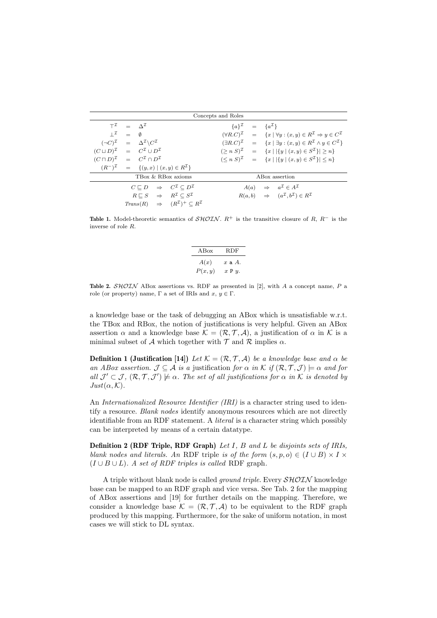|                                                                     |                                                                            |                                                                                 | Concepts and Roles      |                                                                                                                     |
|---------------------------------------------------------------------|----------------------------------------------------------------------------|---------------------------------------------------------------------------------|-------------------------|---------------------------------------------------------------------------------------------------------------------|
|                                                                     | $T^{\mathcal{I}} = \Lambda^{\mathcal{I}}$                                  |                                                                                 | ${a}^{\mu} = {a}^{\mu}$ |                                                                                                                     |
|                                                                     | $I^{\mathcal{I}} = \emptyset$                                              |                                                                                 |                         | $(\forall R.C)^{\mathcal{I}} = \{x \mid \forall y : (x, y) \in R^{\mathcal{I}} \Rightarrow y \in C^{\mathcal{I}}\}$ |
|                                                                     | $(\neg C)^{\mathcal{I}} = \Delta^{\mathcal{I}} \backslash C^{\mathcal{I}}$ |                                                                                 |                         | $(\exists R.C)^{\mathcal{I}} = \{x \mid \exists y : (x, y) \in R^{\mathcal{I}} \land y \in C^{\mathcal{I}}\}\$      |
| $(C \sqcup D)^{\mathcal{I}} = C^{\mathcal{I}} \cup D^{\mathcal{I}}$ |                                                                            |                                                                                 |                         | $(\geq n S)^{\mathcal{I}} = \{x \mid  \{y \mid (x, y) \in S^{\mathcal{I}}\}  \geq n\}$                              |
| $(C \sqcap D)^{\mathcal{I}} = C^{\mathcal{I}} \cap D^{\mathcal{I}}$ |                                                                            |                                                                                 |                         | $(n S)Z = {x   {y   (x, y) \in SZ}  n$                                                                              |
|                                                                     |                                                                            | $(R^{-})^{\mathcal{I}} = \{(y, x)   (x, y) \in R^{\mathcal{I}}\}\$              |                         |                                                                                                                     |
|                                                                     | TBox & RBox axioms                                                         |                                                                                 |                         | ABox assertion                                                                                                      |
|                                                                     |                                                                            | $C \sqsubset D \quad \Rightarrow \quad C^{\mathcal{I}} \subset D^{\mathcal{I}}$ |                         | $A(a) \Rightarrow a^{\mathcal{I}} \in A^{\mathcal{I}}$                                                              |
|                                                                     |                                                                            | $R \sqsubseteq S \Rightarrow R^{\mathcal{I}} \subseteq S^{\mathcal{I}}$         |                         | $R(a, b) \Rightarrow (a^{\mathcal{I}}, b^{\mathcal{I}}) \in R^{\mathcal{I}}$                                        |
|                                                                     |                                                                            | $Trans(R) \Rightarrow (R^{\mathcal{I}})^+ \subseteq R^{\mathcal{I}}$            |                         |                                                                                                                     |

Table 1. Model-theoretic semantics of  $\mathcal{SHOIN}$ .  $R^+$  is the transitive closure of R,  $R^-$  is the inverse of role R.

| ABox   | <b>RDF</b>     |  |  |
|--------|----------------|--|--|
| A(x)   | $x \in A$ .    |  |  |
| P(x,y) | $x \nvert y$ . |  |  |

**Table 2.** SHOIN ABox assertions vs. RDF as presented in [2], with A a concept name, P a role (or property) name,  $\Gamma$  a set of IRIs and  $x, y \in \Gamma$ .

a knowledge base or the task of debugging an ABox which is unsatisfiable w.r.t. the TBox and RBox, the notion of justifications is very helpful. Given an ABox assertion  $\alpha$  and a knowledge base  $\mathcal{K} = (\mathcal{R}, \mathcal{T}, \mathcal{A})$ , a justification of  $\alpha$  in  $\mathcal{K}$  is a minimal subset of A which together with  $\mathcal T$  and  $\mathcal R$  implies  $\alpha$ .

**Definition 1 (Justification [14])** Let  $\mathcal{K} = (\mathcal{R}, \mathcal{T}, \mathcal{A})$  be a knowledge base and  $\alpha$  be an ABox assertion.  $\mathcal{J} \subseteq \mathcal{A}$  is a justification for  $\alpha$  in K if  $(\mathcal{R}, \mathcal{T}, \mathcal{J}) \models \alpha$  and for all  $\mathcal{J}' \subset \mathcal{J}$ ,  $(\mathcal{R}, \mathcal{T}, \mathcal{J}') \not\models \alpha$ . The set of all justifications for  $\alpha$  in K is denoted by  $Just(\alpha, K).$ 

An Internationalized Resource Identifier (IRI) is a character string used to identify a resource. Blank nodes identify anonymous resources which are not directly identifiable from an RDF statement. A literal is a character string which possibly can be interpreted by means of a certain datatype.

Definition 2 (RDF Triple, RDF Graph) Let I, B and L be disjoints sets of IRIs, blank nodes and literals. An RDF triple is of the form  $(s, p, o) \in (I \cup B) \times I \times$  $(I \cup B \cup L)$ . A set of RDF triples is called RDF graph.

A triple without blank node is called *ground triple*. Every  $\mathcal{SHOLN}$  knowledge base can be mapped to an RDF graph and vice versa. See Tab. 2 for the mapping of ABox assertions and [19] for further details on the mapping. Therefore, we consider a knowledge base  $\mathcal{K} = (\mathcal{R}, \mathcal{T}, \mathcal{A})$  to be equivalent to the RDF graph produced by this mapping. Furthermore, for the sake of uniform notation, in most cases we will stick to DL syntax.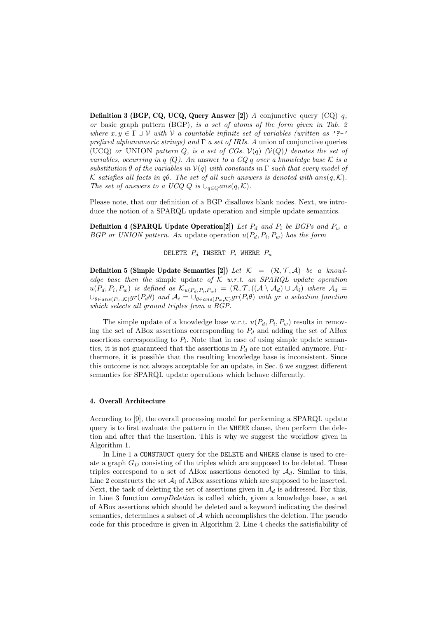**Definition 3 (BGP, CQ, UCQ, Query Answer [2])** A conjunctive query (CQ)  $q$ , or basic graph pattern (BGP), is a set of atoms of the form given in Tab. 2 where  $x, y \in \Gamma \cup V$  with V a countable infinite set of variables (written as '?-' prefixed alphanumeric strings) and  $\Gamma$  a set of IRIs. A union of conjunctive queries (UCQ) or UNION pattern Q, is a set of CGs.  $V(q)$   $(V(Q))$  denotes the set of variables, occurring in q (Q). An answer to a CQ q over a knowledge base K is a substitution  $\theta$  of the variables in  $V(q)$  with constants in  $\Gamma$  such that every model of K satisfies all facts in q $\theta$ . The set of all such answers is denoted with ans $(q, K)$ . The set of answers to a UCQ Q is  $\cup_{q\in Q}ans(q,\mathcal{K})$ .

Please note, that our definition of a BGP disallows blank nodes. Next, we introduce the notion of a SPARQL update operation and simple update semantics.

**Definition 4 (SPARQL Update Operation**[2]) Let  $P_d$  and  $P_i$  be BGPs and  $P_w$  a BGP or UNION pattern. An update operation  $u(P_d, P_i, P_w)$  has the form

DELETE  $P_d$  INSERT  $P_i$  where  $P_w$ 

**Definition 5 (Simple Update Semantics [2])** Let  $\mathcal{K} = (\mathcal{R}, \mathcal{T}, \mathcal{A})$  be a knowledge base then the simple update of  $K$  w.r.t. an SPARQL update operation  $u(P_d, P_i, P_w)$  is defined as  $\mathcal{K}_{u(P_d, P_i, P_w)} = (\mathcal{R}, \mathcal{T}, ((\mathcal{A} \setminus \mathcal{A}_d) \cup \mathcal{A}_i)$  where  $\mathcal{A}_d =$  $\cup_{\theta \in ans(P_w,\mathcal{K})} gr(P_d\theta)$  and  $\mathcal{A}_i = \cup_{\theta \in ans(P_w,\mathcal{K})} gr(P_i\theta)$  with gr a selection function which selects all ground triples from a BGP.

The simple update of a knowledge base w.r.t.  $u(P_d, P_i, P_w)$  results in removing the set of ABox assertions corresponding to  $P_d$  and adding the set of ABox assertions corresponding to  $P_i$ . Note that in case of using simple update semantics, it is not guaranteed that the assertions in  $P_d$  are not entailed anymore. Furthermore, it is possible that the resulting knowledge base is inconsistent. Since this outcome is not always acceptable for an update, in Sec. 6 we suggest different semantics for SPARQL update operations which behave differently.

## 4. Overall Architecture

According to [9], the overall processing model for performing a SPARQL update query is to first evaluate the pattern in the WHERE clause, then perform the deletion and after that the insertion. This is why we suggest the workflow given in Algorithm 1.

In Line 1 a CONSTRUCT query for the DELETE and WHERE clause is used to create a graph  $G_D$  consisting of the triples which are supposed to be deleted. These triples correspond to a set of ABox assertions denoted by  $\mathcal{A}_d$ . Similar to this, Line 2 constructs the set  $A_i$  of ABox assertions which are supposed to be inserted. Next, the task of deleting the set of assertions given in  $\mathcal{A}_d$  is addressed. For this, in Line 3 function compDeletion is called which, given a knowledge base, a set of ABox assertions which should be deleted and a keyword indicating the desired semantics, determines a subset of  $A$  which accomplishes the deletion. The pseudo code for this procedure is given in Algorithm 2. Line 4 checks the satisfiability of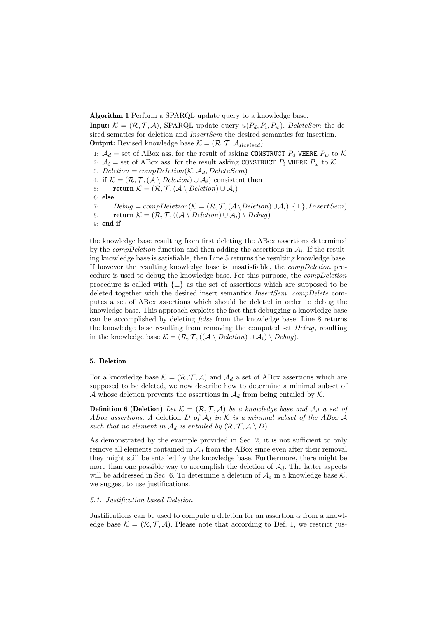Algorithm 1 Perform a SPARQL update query to a knowledge base.

**Input:**  $K = (\mathcal{R}, \mathcal{T}, \mathcal{A})$ , SPARQL update query  $u(P_d, P_i, P_w)$ , DeleteSem the desired sematics for deletion and *InsertSem* the desired semantics for insertion. **Output:** Revised knowledge base  $K = (\mathcal{R}, \mathcal{T}, \mathcal{A}_{Revised})$ 

1:  $A_d$  = set of ABox ass. for the result of asking CONSTRUCT  $P_d$  WHERE  $P_w$  to K 2:  $A_i$  = set of ABox ass. for the result asking CONSTRUCT  $P_i$  WHERE  $P_w$  to K 3: Deletion =  $compleletion(\mathcal{K}, \mathcal{A}_d, DeleteSem)$ 4: if  $\mathcal{K} = (\mathcal{R}, \mathcal{T}, (\mathcal{A} \setminus Deletion) \cup \mathcal{A}_i)$  consistent then 5: return  $\mathcal{K} = (\mathcal{R}, \mathcal{T}, (\mathcal{A} \setminus Deletion) \cup \mathcal{A}_i)$ 6: else 7: Debug =  $compDeletion(\mathcal{K} = (\mathcal{R}, \mathcal{T}, (\mathcal{A} \setminus Deletion) \cup \mathcal{A}_i), \{\bot\}, InsertSem)$ 8: return  $\mathcal{K} = (\mathcal{R}, \mathcal{T}, ((\mathcal{A} \setminus Deletion) \cup \mathcal{A}_i) \setminus Debug)$ 9: end if

the knowledge base resulting from first deleting the ABox assertions determined by the *compDeletion* function and then adding the assertions in  $A_i$ . If the resulting knowledge base is satisfiable, then Line 5 returns the resulting knowledge base. If however the resulting knowledge base is unsatisfiable, the compDeletion procedure is used to debug the knowledge base. For this purpose, the compDeletion procedure is called with  $\{\perp\}$  as the set of assertions which are supposed to be deleted together with the desired insert semantics InsertSem. compDelete computes a set of ABox assertions which should be deleted in order to debug the knowledge base. This approach exploits the fact that debugging a knowledge base can be accomplished by deleting false from the knowledge base. Line 8 returns the knowledge base resulting from removing the computed set Debug, resulting in the knowledge base  $\mathcal{K} = (\mathcal{R}, \mathcal{T}, ((\mathcal{A} \setminus Deletion) \cup \mathcal{A}_i) \setminus Debug).$ 

## 5. Deletion

For a knowledge base  $\mathcal{K} = (\mathcal{R}, \mathcal{T}, \mathcal{A})$  and  $\mathcal{A}_d$  a set of ABox assertions which are supposed to be deleted, we now describe how to determine a minimal subset of A whose deletion prevents the assertions in  $\mathcal{A}_d$  from being entailed by  $\mathcal{K}$ .

**Definition 6 (Deletion)** Let  $\mathcal{K} = (\mathcal{R}, \mathcal{T}, \mathcal{A})$  be a knowledge base and  $\mathcal{A}_d$  a set of ABox assertions. A deletion D of  $A_d$  in K is a minimal subset of the ABox A such that no element in  $\mathcal{A}_d$  is entailed by  $(\mathcal{R}, \mathcal{T}, \mathcal{A} \setminus D)$ .

As demonstrated by the example provided in Sec. 2, it is not sufficient to only remove all elements contained in  $A_d$  from the ABox since even after their removal they might still be entailed by the knowledge base. Furthermore, there might be more than one possible way to accomplish the deletion of  $A_d$ . The latter aspects will be addressed in Sec. 6. To determine a deletion of  $\mathcal{A}_d$  in a knowledge base  $\mathcal{K}$ , we suggest to use justifications.

#### 5.1. Justification based Deletion

Justifications can be used to compute a deletion for an assertion  $\alpha$  from a knowledge base  $\mathcal{K} = (\mathcal{R}, \mathcal{T}, \mathcal{A})$ . Please note that according to Def. 1, we restrict jus-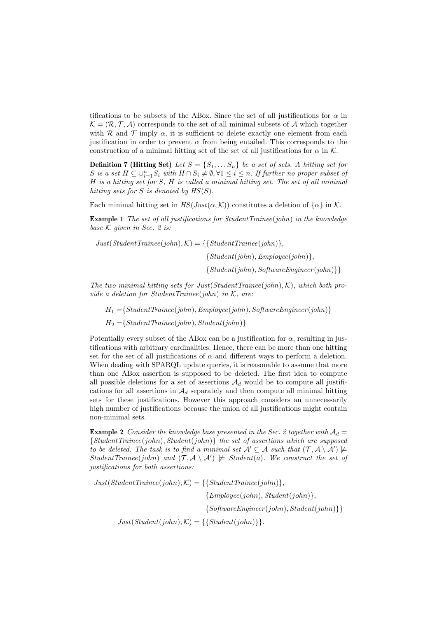tifications to be subsets of the ABox. Since the set of all justifications for  $\alpha$  in  $\mathcal{K} = (\mathcal{R}, \mathcal{T}, \mathcal{A})$  corresponds to the set of all minimal subsets of A which together with R and T imply  $\alpha$ , it is sufficient to delete exactly one element from each justification in order to prevent  $\alpha$  from being entailed. This corresponds to the construction of a minimal hitting set of the set of all justifications for  $\alpha$  in K.

**Definition 7 (Hitting Set)** Let  $S = \{S_1, \ldots S_n\}$  be a set of sets. A hitting set for S is a set  $H \subseteq \bigcup_{i=1}^n S_i$  with  $H \cap S_i \neq \emptyset, \forall 1 \leq i \leq n$ . If further no proper subset of H is a hitting set for S, H is called a minimal hitting set. The set of all minimal hitting sets for S is denoted by  $HS(S)$ .

Each minimal hitting set in  $HS(Just(\alpha, \mathcal{K}))$  constitutes a deletion of  $\{\alpha\}$  in K.

**Example 1** The set of all justifications for StudentTrainee(john) in the knowledge base  $K$  given in Sec. 2 is:

 $Just(StudentTriangle(john), K) = \{\{StudentTriangle(john)\},\$  ${Student(john), Employee(john)},$  ${Student(iohn), SoftwareEnainer(iohn)}$ 

The two minimal hitting sets for Just(StudentTrainee(john), K), which both provide a deletion for StudentTrainee(john) in  $K$ , are:

 $H_1 = \{StudentTriangle(john), Employee(john), SoftwareEngineer(john)\}\$ 

 $H_2 = \{StudentTriangle(john), Student(john)\}$ 

Potentially every subset of the ABox can be a justification for  $\alpha$ , resulting in justifications with arbitrary cardinalities. Hence, there can be more than one hitting set for the set of all justifications of  $\alpha$  and different ways to perform a deletion. When dealing with SPARQL update queries, it is reasonable to assume that more than one ABox assertion is supposed to be deleted. The first idea to compute all possible deletions for a set of assertions  $\mathcal{A}_d$  would be to compute all justifications for all assertions in  $\mathcal{A}_d$  separately and then compute all minimal hitting sets for these justifications. However this approach considers an unnecessarily high number of justifications because the union of all justifications might contain non-minimal sets.

**Example 2** Consider the knowledge base presented in the Sec. 2 together with  $A_d =$  ${StudentTraine (john), Student(john)}$  the set of assertions which are supposed to be deleted. The task is to find a minimal set  $\mathcal{A}' \subseteq \mathcal{A}$  such that  $(\mathcal{T}, \mathcal{A} \setminus \mathcal{A}') \not\models$ StudentTrainee(john) and  $(\mathcal{T}, \mathcal{A} \setminus \mathcal{A}') \not\models Student(a)$ . We construct the set of justifications for both assertions:

 $Just(StudentTriangle(john), K) = \{\{StudentTriangle(john)\},\$  ${Emplove(iohn), Student(iohn)}.$ 

 $\{SoftwareEngineering(john), Student(john)\}\}$ 

 $Just(Student(john), K) = \{\{Student(john)\}\}.$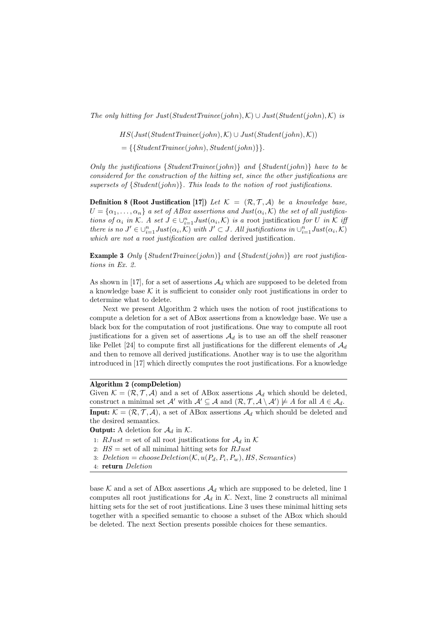The only hitting for Just(StudentTrainee(john),  $\mathcal{K}$ ) ∪ Just(Student(john),  $\mathcal{K}$ ) is

 $HS(Just(StudentTriangle(john), K) \cup Just(Student(john), K))$ 

 $=\{\{StudentTriangle(john), Student(john)\}\}.$ 

Only the justifications  ${StudentTriangle(john)}$  and  ${Student(john)}$  have to be considered for the construction of the hitting set, since the other justifications are supersets of  ${Student(john)}$ . This leads to the notion of root justifications.

**Definition 8 (Root Justification [17])** Let  $\mathcal{K} = (\mathcal{R}, \mathcal{T}, \mathcal{A})$  be a knowledge base,  $U = {\alpha_1, \ldots, \alpha_n}$  a set of ABox assertions and Just $(\alpha_i, \mathcal{K})$  the set of all justifications of  $\alpha_i$  in K. A set  $J \in \bigcup_{i=1}^n Just(\alpha_i, \mathcal{K})$  is a root justification for U in K if there is no  $J' \in \bigcup_{i=1}^n Just(\alpha_i, \mathcal{K})$  with  $J' \subset J$ . All justifications in  $\bigcup_{i=1}^n Just(\alpha_i, \mathcal{K})$ which are not a root justification are called derived justification.

**Example 3** Only  ${StudentTriangle(John)}$  and  ${Student(John)}$  are root justifications in Ex. 2.

As shown in [17], for a set of assertions  $\mathcal{A}_d$  which are supposed to be deleted from a knowledge base  $\mathcal K$  it is sufficient to consider only root justifications in order to determine what to delete.

Next we present Algorithm 2 which uses the notion of root justifications to compute a deletion for a set of ABox assertions from a knowledge base. We use a black box for the computation of root justifications. One way to compute all root justifications for a given set of assertions  $\mathcal{A}_d$  is to use an off the shelf reasoner like Pellet [24] to compute first all justifications for the different elements of  $\mathcal{A}_d$ and then to remove all derived justifications. Another way is to use the algorithm introduced in [17] which directly computes the root justifications. For a knowledge

# Algorithm 2 (compDeletion)

Given  $\mathcal{K} = (\mathcal{R}, \mathcal{T}, \mathcal{A})$  and a set of ABox assertions  $\mathcal{A}_d$  which should be deleted, construct a minimal set  $\mathcal{A}'$  with  $\mathcal{A}' \subseteq \mathcal{A}$  and  $(\mathcal{R}, \mathcal{T}, \mathcal{A} \setminus \mathcal{A}') \not\models A$  for all  $A \in \mathcal{A}_d$ .

**Input:**  $\mathcal{K} = (\mathcal{R}, \mathcal{T}, \mathcal{A})$ , a set of ABox assertions  $\mathcal{A}_d$  which should be deleted and the desired semantics.

**Output:** A deletion for  $\mathcal{A}_d$  in K.

1:  $RJust = set$  of all root justifications for  $\mathcal{A}_d$  in K

- 2:  $HS =$  set of all minimal hitting sets for  $RJust$
- 3: Deletion = chooseDeletion( $K, u(P_d, P_i, P_w)$ , HS, Semantics)

base K and a set of ABox assertions  $\mathcal{A}_d$  which are supposed to be deleted, line 1 computes all root justifications for  $\mathcal{A}_d$  in K. Next, line 2 constructs all minimal hitting sets for the set of root justifications. Line 3 uses these minimal hitting sets together with a specified semantic to choose a subset of the ABox which should be deleted. The next Section presents possible choices for these semantics.

<sup>4:</sup> return Deletion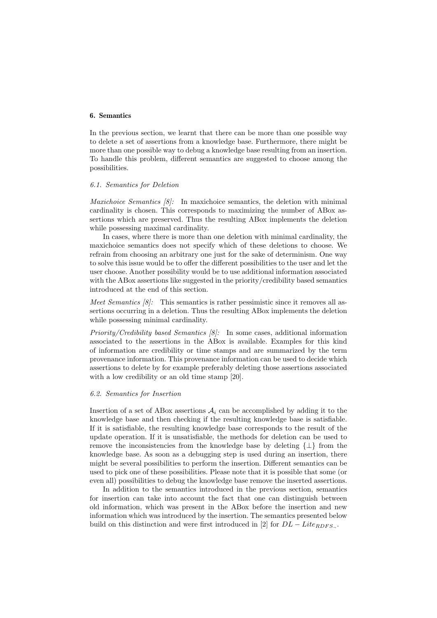## 6. Semantics

In the previous section, we learnt that there can be more than one possible way to delete a set of assertions from a knowledge base. Furthermore, there might be more than one possible way to debug a knowledge base resulting from an insertion. To handle this problem, different semantics are suggested to choose among the possibilities.

#### 6.1. Semantics for Deletion

Maxichoice Semantics [8]: In maxichoice semantics, the deletion with minimal cardinality is chosen. This corresponds to maximizing the number of ABox assertions which are preserved. Thus the resulting ABox implements the deletion while possessing maximal cardinality.

In cases, where there is more than one deletion with minimal cardinality, the maxichoice semantics does not specify which of these deletions to choose. We refrain from choosing an arbitrary one just for the sake of determinism. One way to solve this issue would be to offer the different possibilities to the user and let the user choose. Another possibility would be to use additional information associated with the ABox assertions like suggested in the priority/credibility based semantics introduced at the end of this section.

*Meet Semantics*  $\{8\}$ : This semantics is rather pessimistic since it removes all assertions occurring in a deletion. Thus the resulting ABox implements the deletion while possessing minimal cardinality.

Priority/Credibility based Semantics [8]: In some cases, additional information associated to the assertions in the ABox is available. Examples for this kind of information are credibility or time stamps and are summarized by the term provenance information. This provenance information can be used to decide which assertions to delete by for example preferably deleting those assertions associated with a low credibility or an old time stamp [20].

## 6.2. Semantics for Insertion

Insertion of a set of ABox assertions  $A_i$  can be accomplished by adding it to the knowledge base and then checking if the resulting knowledge base is satisfiable. If it is satisfiable, the resulting knowledge base corresponds to the result of the update operation. If it is unsatisfiable, the methods for deletion can be used to remove the inconsistencies from the knowledge base by deleting {⊥} from the knowledge base. As soon as a debugging step is used during an insertion, there might be several possibilities to perform the insertion. Different semantics can be used to pick one of these possibilities. Please note that it is possible that some (or even all) possibilities to debug the knowledge base remove the inserted assertions.

In addition to the semantics introduced in the previous section, semantics for insertion can take into account the fact that one can distinguish between old information, which was present in the ABox before the insertion and new information which was introduced by the insertion. The semantics presented below build on this distinction and were first introduced in [2] for  $DL - Lite_{RDFS}$ .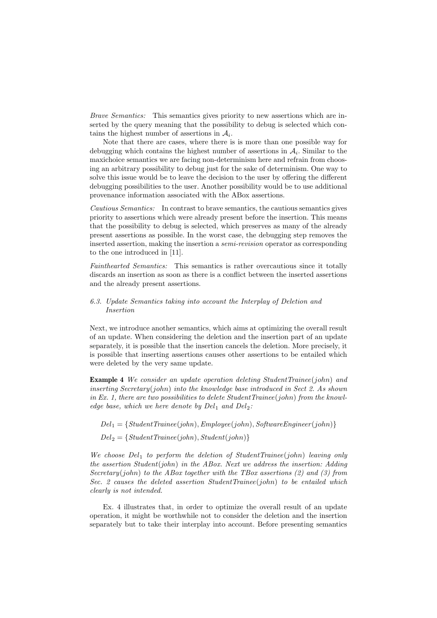Brave Semantics: This semantics gives priority to new assertions which are inserted by the query meaning that the possibility to debug is selected which contains the highest number of assertions in  $A_i$ .

Note that there are cases, where there is is more than one possible way for debugging which contains the highest number of assertions in  $A_i$ . Similar to the maxichoice semantics we are facing non-determinism here and refrain from choosing an arbitrary possibility to debug just for the sake of determinism. One way to solve this issue would be to leave the decision to the user by offering the different debugging possibilities to the user. Another possibility would be to use additional provenance information associated with the ABox assertions.

Cautious Semantics: In contrast to brave semantics, the cautious semantics gives priority to assertions which were already present before the insertion. This means that the possibility to debug is selected, which preserves as many of the already present assertions as possible. In the worst case, the debugging step removes the inserted assertion, making the insertion a *semi-revision* operator as corresponding to the one introduced in [11].

Fainthearted Semantics: This semantics is rather overcautious since it totally discards an insertion as soon as there is a conflict between the inserted assertions and the already present assertions.

## 6.3. Update Semantics taking into account the Interplay of Deletion and Insertion

Next, we introduce another semantics, which aims at optimizing the overall result of an update. When considering the deletion and the insertion part of an update separately, it is possible that the insertion cancels the deletion. More precisely, it is possible that inserting assertions causes other assertions to be entailed which were deleted by the very same update.

Example 4 We consider an update operation deleting StudentTrainee(john) and inserting Secretary(john) into the knowledge base introduced in Sect 2. As shown in Ex. 1, there are two possibilities to delete  $StudentTriangle(john)$  from the knowledge base, which we here denote by  $Del<sub>1</sub>$  and  $Del<sub>2</sub>$ :

 $Del_1 = \{StudentTriangle(john), Employee(john), SoftwareEngineering(john)\}$ 

 $Del_2 = \{StudentTriangle(john), Student(john)\}$ 

We choose  $Del_1$  to perform the deletion of StudentTrainee(john) leaving only the assertion Student(john) in the ABox. Next we address the insertion: Adding Secretary(john) to the ABox together with the TBox assertions  $(2)$  and  $(3)$  from Sec. 2 causes the deleted assertion StudentTrainee(john) to be entailed which clearly is not intended.

Ex. 4 illustrates that, in order to optimize the overall result of an update operation, it might be worthwhile not to consider the deletion and the insertion separately but to take their interplay into account. Before presenting semantics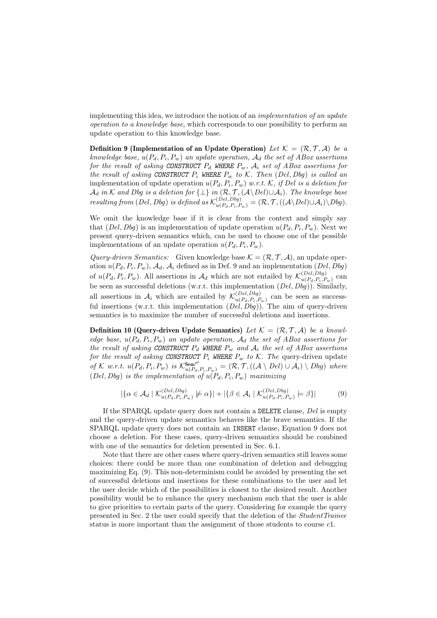implementing this idea, we introduce the notion of an implementation of an update operation to a knowledge base, which corresponds to one possibility to perform an update operation to this knowledge base.

**Definition 9 (Implementation of an Update Operation)** Let  $\mathcal{K} = (\mathcal{R}, \mathcal{T}, \mathcal{A})$  be a knowledge base,  $u(P_d, P_i, P_w)$  an update operation,  $\mathcal{A}_d$  the set of ABox assertions for the result of asking CONSTRUCT  $P_d$  WHERE  $P_w$ ,  $A_i$  set of ABox assertions for the result of asking CONSTRUCT  $P_i$  WHERE  $P_w$  to K. Then (Del, Dbg) is called an implementation of update operation  $u(P_d, P_i, P_w)$  w.r.t. K, if Del is a deletion for  $\mathcal{A}_d$  in  $\mathcal K$  and  $D$ bg is a deletion for  $\{\bot\}$  in  $(\mathcal R, \mathcal T, (\mathcal A\setminus Del) \cup \mathcal A_i).$  The knowlege base resulting from  $(Del, Dbg)$  is defined as  $\mathcal{K}_{u(P_d, P_i, P_w)}^{(Del, Dbg)} = (\mathcal{R}, \mathcal{T}, ((\mathcal{A} \setminus Del) \cup \mathcal{A}_i) \setminus Dbg).$ 

We omit the knowledge base if it is clear from the context and simply say that  $(Del, Dbg)$  is an implementation of update operation  $u(P_d, P_i, P_w)$ . Next we present query-driven semantics which, can be used to choose one of the possible implementations of an update operation  $u(P_d, P_i, P_w)$ .

Query-driven Semantics: Given knowledge base  $\mathcal{K} = (\mathcal{R}, \mathcal{T}, \mathcal{A})$ , an update operation  $u(P_d, P_i, P_w)$ ,  $\mathcal{A}_d$ ,  $\mathcal{A}_i$  defined as in Def. 9 and an implementation  $(Del, Dbg)$ of  $u(P_d, P_i, P_w)$ . All assertions in  $\mathcal{A}_d$  which are not entailed by  $\mathcal{K}_{u(P_d, P_i, P_w)}^{(Del, Dbg)}$  $u(P_d, P_i, P_w)$  can be seen as successful deletions (w.r.t. this implementation  $(Del, Dbg)$ ). Similarly, all assertions in  $\mathcal{A}_i$  which are entailed by  $\mathcal{K}_{u(P_i, P_i, F_i)}^{(Del, Dbg)}$  $\frac{u(P_{el}, D_{og})}{u(P_{d}, P_{i}, P_{w})}$  can be seen as successful insertions (w.r.t. this implementation  $(Del, Dbg)$ ). The aim of query-driven semantics is to maximize the number of successful deletions and insertions.

**Definition 10 (Query-driven Update Semantics)** Let  $\mathcal{K} = (\mathcal{R}, \mathcal{T}, \mathcal{A})$  be a knowledge base,  $u(P_d, P_i, P_w)$  an update operation,  $\mathcal{A}_d$  the set of ABox assertions for the result of asking CONSTRUCT  $P_d$  WHERE  $P_w$  and  $\mathcal{A}_i$  the set of ABox assertions for the result of asking CONSTRUCT  $P_i$  WHERE  $P_w$  to K. The query-driven update of K w.r.t.  $u(P_d, P_i, P_w)$  is  $\mathcal{K}^{\text{Sem}^{qd}}_{u(P_d, P_i, P_w)} = (\mathcal{R}, \mathcal{T}, ((\mathcal{A} \setminus Del) \cup \mathcal{A}_i) \setminus Dbg)$  where  $(Del, Dbg)$  is the implementation of  $u(P_d, P_i, P_w)$  maximizing

$$
|\{\alpha \in \mathcal{A}_d \mid \mathcal{K}_{u(P_d, P_i, P_w)}^{(Del, Dbg)} \not\models \alpha\}| + |\{\beta \in \mathcal{A}_i \mid \mathcal{K}_{u(P_d, P_i, P_w)}^{(Del, Dbg)} \models \beta\}| \tag{9}
$$

If the SPARQL update query does not contain a DELETE clause, Del is empty and the query-driven update semantics behaves like the brave semantics. If the SPARQL update query does not contain an INSERT clause, Equation 9 does not choose a deletion. For these cases, query-driven semantics should be combined with one of the semantics for deletion presented in Sec. 6.1.

Note that there are other cases where query-driven semantics still leaves some choices: there could be more than one combination of deletion and debugging maximizing Eq. (9). This non-determinism could be avoided by presenting the set of successful deletions and insertions for these combinations to the user and let the user decide which of the possibilities is closest to the desired result. Another possibility would be to enhance the query mechanism such that the user is able to give priorities to certain parts of the query. Considering for example the query presented in Sec. 2 the user could specify that the deletion of the StudentTrainee status is more important than the assignment of those students to course c1.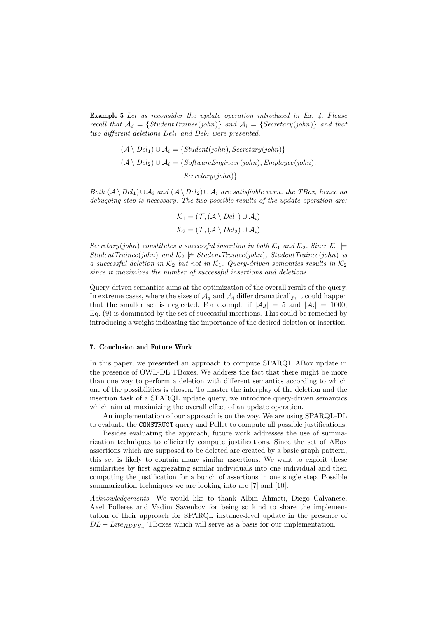Example 5 Let us reconsider the update operation introduced in Ex. 4. Please recall that  $A_d = \{StudentTriangle(john)\}$  and  $A_i = \{Secretary(john)\}$  and that two different deletions  $Del_1$  and  $Del_2$  were presented.

$$
(A \setminus Del_1) \cup A_i = \{Student(john), Secretary(john)\}
$$

$$
(A \setminus Del_2) \cup A_i = \{SoftwareEngineering(john), Employee(john),
$$

$$
Secretary(john)\}
$$

Both  $(\mathcal{A} \setminus Del_1) \cup \mathcal{A}_i$  and  $(\mathcal{A} \setminus Del_2) \cup \mathcal{A}_i$  are satisfiable w.r.t. the TBox, hence no debugging step is necessary. The two possible results of the update operation are:

$$
\mathcal{K}_1 = (\mathcal{T}, (\mathcal{A} \setminus Del_1) \cup \mathcal{A}_i)
$$

$$
\mathcal{K}_2 = (\mathcal{T}, (\mathcal{A} \setminus Del_2) \cup \mathcal{A}_i)
$$

Secretary(john) constitutes a successful insertion in both  $\mathcal{K}_1$  and  $\mathcal{K}_2$ . Since  $\mathcal{K}_1$   $\models$ StudentTrainee(john) and  $\mathcal{K}_2 \not\models StudentTriangle(john)$ , StudentTrainee(john) is a successful deletion in  $K_2$  but not in  $K_1$ . Query-driven semantics results in  $K_2$ since it maximizes the number of successful insertions and deletions.

Query-driven semantics aims at the optimization of the overall result of the query. In extreme cases, where the sizes of  $\mathcal{A}_d$  and  $\mathcal{A}_i$  differ dramatically, it could happen that the smaller set is neglected. For example if  $|\mathcal{A}_d| = 5$  and  $|\mathcal{A}_i| = 1000$ , Eq. (9) is dominated by the set of successful insertions. This could be remedied by introducing a weight indicating the importance of the desired deletion or insertion.

#### 7. Conclusion and Future Work

In this paper, we presented an approach to compute SPARQL ABox update in the presence of OWL-DL TBoxes. We address the fact that there might be more than one way to perform a deletion with different semantics according to which one of the possibilities is chosen. To master the interplay of the deletion and the insertion task of a SPARQL update query, we introduce query-driven semantics which aim at maximizing the overall effect of an update operation.

An implementation of our approach is on the way. We are using SPARQL-DL to evaluate the CONSTRUCT query and Pellet to compute all possible justifications.

Besides evaluating the approach, future work addresses the use of summarization techniques to efficiently compute justifications. Since the set of ABox assertions which are supposed to be deleted are created by a basic graph pattern, this set is likely to contain many similar assertions. We want to exploit these similarities by first aggregating similar individuals into one individual and then computing the justification for a bunch of assertions in one single step. Possible summarization techniques we are looking into are [7] and [10].

Acknowledgements We would like to thank Albin Ahmeti, Diego Calvanese, Axel Polleres and Vadim Savenkov for being so kind to share the implementation of their approach for SPARQL instance-level update in the presence of  $DL - Lit_{RDFS}$  TBoxes which will serve as a basis for our implementation.